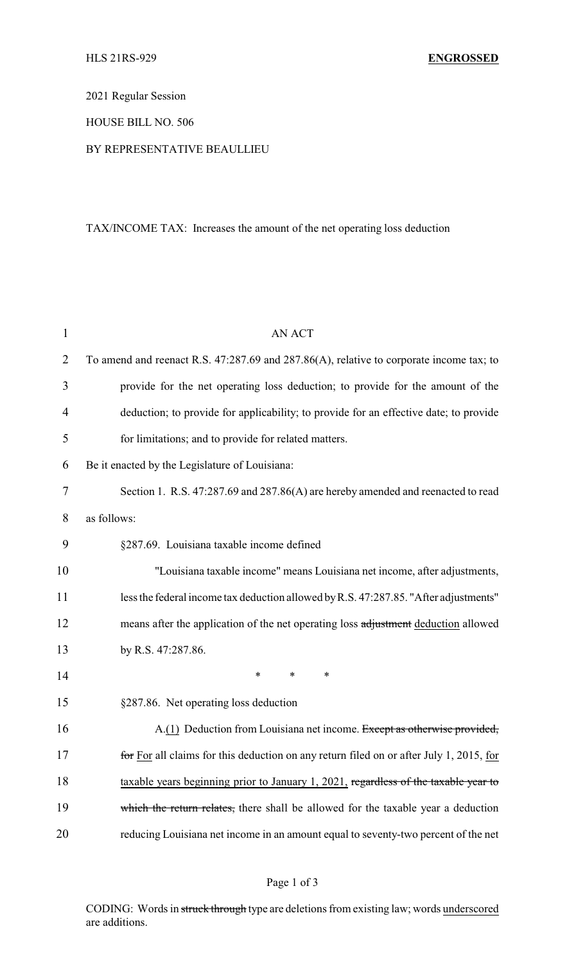2021 Regular Session

#### HOUSE BILL NO. 506

#### BY REPRESENTATIVE BEAULLIEU

# TAX/INCOME TAX: Increases the amount of the net operating loss deduction

| 1              | <b>AN ACT</b>                                                                           |
|----------------|-----------------------------------------------------------------------------------------|
| $\overline{2}$ | To amend and reenact R.S. 47:287.69 and 287.86(A), relative to corporate income tax; to |
| 3              | provide for the net operating loss deduction; to provide for the amount of the          |
| 4              | deduction; to provide for applicability; to provide for an effective date; to provide   |
| 5              | for limitations; and to provide for related matters.                                    |
| 6              | Be it enacted by the Legislature of Louisiana:                                          |
| 7              | Section 1. R.S. 47:287.69 and 287.86(A) are hereby amended and reenacted to read        |
| 8              | as follows:                                                                             |
| 9              | §287.69. Louisiana taxable income defined                                               |
| 10             | "Louisiana taxable income" means Louisiana net income, after adjustments,               |
| 11             | less the federal income tax deduction allowed by R.S. 47:287.85. "After adjustments"    |
| 12             | means after the application of the net operating loss adjustment deduction allowed      |
| 13             | by R.S. 47:287.86.                                                                      |
| 14             | $\ast$<br>*<br>*                                                                        |
| 15             | §287.86. Net operating loss deduction                                                   |
| 16             | A.(1) Deduction from Louisiana net income. Except as otherwise provided,                |
| 17             | for For all claims for this deduction on any return filed on or after July 1, 2015, for |
| 18             | taxable years beginning prior to January 1, 2021, regardless of the taxable year to     |
| 19             | which the return relates, there shall be allowed for the taxable year a deduction       |
| 20             | reducing Louisiana net income in an amount equal to seventy-two percent of the net      |

# Page 1 of 3

CODING: Words in struck through type are deletions from existing law; words underscored are additions.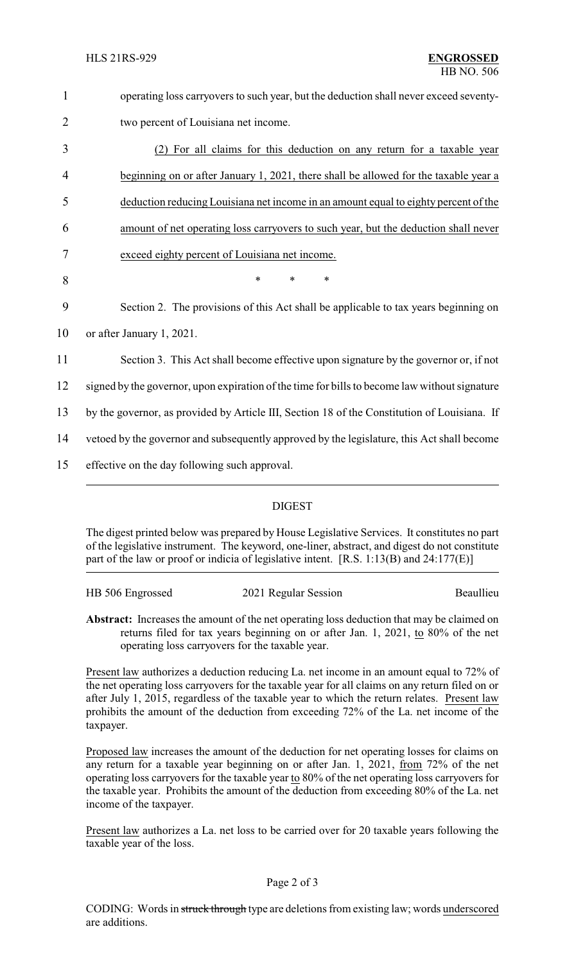| $\mathbf{1}$   | operating loss carryovers to such year, but the deduction shall never exceed seventy-         |
|----------------|-----------------------------------------------------------------------------------------------|
| $\overline{2}$ | two percent of Louisiana net income.                                                          |
| 3              | (2) For all claims for this deduction on any return for a taxable year                        |
| $\overline{4}$ | beginning on or after January 1, 2021, there shall be allowed for the taxable year a          |
| 5              | deduction reducing Louisiana net income in an amount equal to eighty percent of the           |
| 6              | amount of net operating loss carryovers to such year, but the deduction shall never           |
| 7              | exceed eighty percent of Louisiana net income.                                                |
| 8              | *<br>$\ast$<br>*                                                                              |
| 9              | Section 2. The provisions of this Act shall be applicable to tax years beginning on           |
| 10             | or after January 1, 2021.                                                                     |
| 11             | Section 3. This Act shall become effective upon signature by the governor or, if not          |
| 12             | signed by the governor, upon expiration of the time for bills to become law without signature |
| 13             | by the governor, as provided by Article III, Section 18 of the Constitution of Louisiana. If  |
| 14             | vetoed by the governor and subsequently approved by the legislature, this Act shall become    |
| 15             | effective on the day following such approval.                                                 |
|                |                                                                                               |

### DIGEST

The digest printed below was prepared by House Legislative Services. It constitutes no part of the legislative instrument. The keyword, one-liner, abstract, and digest do not constitute part of the law or proof or indicia of legislative intent. [R.S. 1:13(B) and 24:177(E)]

| HB 506 Engrossed | 2021 Regular Session | Beaullieu |
|------------------|----------------------|-----------|
|------------------|----------------------|-----------|

**Abstract:** Increases the amount of the net operating loss deduction that may be claimed on returns filed for tax years beginning on or after Jan. 1, 2021, to 80% of the net operating loss carryovers for the taxable year.

Present law authorizes a deduction reducing La. net income in an amount equal to 72% of the net operating loss carryovers for the taxable year for all claims on any return filed on or after July 1, 2015, regardless of the taxable year to which the return relates. Present law prohibits the amount of the deduction from exceeding 72% of the La. net income of the taxpayer.

Proposed law increases the amount of the deduction for net operating losses for claims on any return for a taxable year beginning on or after Jan. 1, 2021, from 72% of the net operating loss carryovers for the taxable year to 80% of the net operating loss carryovers for the taxable year. Prohibits the amount of the deduction from exceeding 80% of the La. net income of the taxpayer.

Present law authorizes a La. net loss to be carried over for 20 taxable years following the taxable year of the loss.